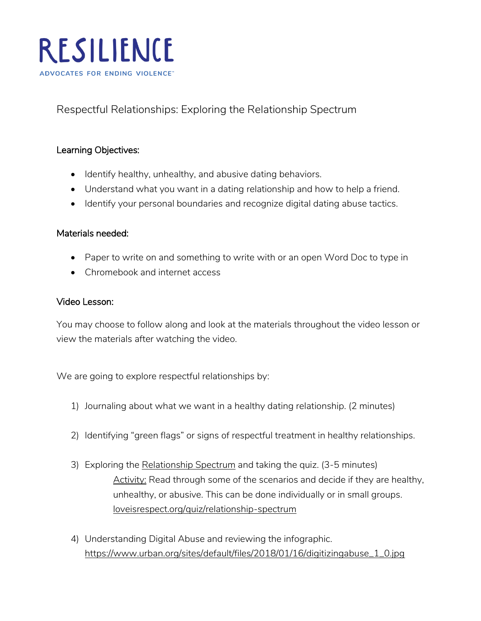

Respectful Relationships: Exploring the Relationship Spectrum

# Learning Objectives:

- Identify healthy, unhealthy, and abusive dating behaviors.
- Understand what you want in a dating relationship and how to help a friend.
- Identify your personal boundaries and recognize digital dating abuse tactics.

### Materials needed:

- Paper to write on and something to write with or an open Word Doc to type in
- Chromebook and internet access

#### Video Lesson:

You may choose to follow along and look at the materials throughout the video lesson or view the materials after watching the video.

We are going to explore respectful relationships by:

- 1) Journaling about what we want in a healthy dating relationship. (2 minutes)
- 2) Identifying "green flags" or signs of respectful treatment in healthy relationships.
- 3) Exploring the [Relationship Spectrum](https://www.loveisrespect.org/wp-content/uploads/media/sites/3/2020/11/2020-LIR-Relationship-Spectrum-onepager.pdf) and taking the quiz. (3-5 minutes) Activity: Read through some of the scenarios and decide if they are healthy, unhealthy, or abusive. This can be done individually or in small groups. [loveisrespect.org/quiz/relationship-spectrum](https://www.loveisrespect.org/quiz/relationship-spectrum/)
- 4) Understanding Digital Abuse and reviewing the infographic. [https://www.urban.org/sites/default/files/2018/01/16/digitizingabuse\\_1\\_0.jpg](https://www.urban.org/sites/default/files/2018/01/16/digitizingabuse_1_0.jpg)